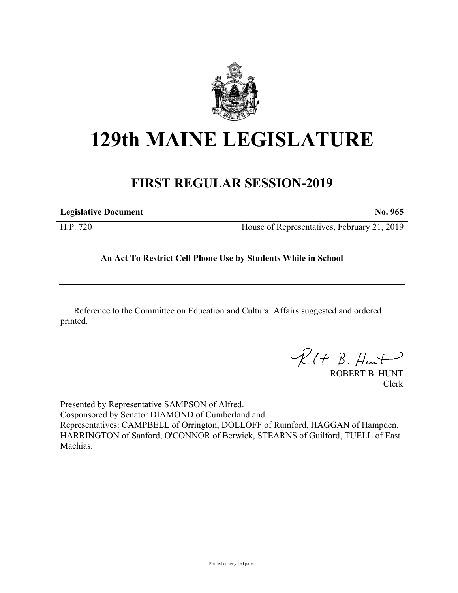

# **129th MAINE LEGISLATURE**

## **FIRST REGULAR SESSION-2019**

| <b>Legislative Document</b> | No. 965                                     |
|-----------------------------|---------------------------------------------|
| H.P. 720                    | House of Representatives, February 21, 2019 |

### **An Act To Restrict Cell Phone Use by Students While in School**

Reference to the Committee on Education and Cultural Affairs suggested and ordered printed.

 $R(t B. Hmt)$ 

ROBERT B. HUNT Clerk

Presented by Representative SAMPSON of Alfred. Cosponsored by Senator DIAMOND of Cumberland and Representatives: CAMPBELL of Orrington, DOLLOFF of Rumford, HAGGAN of Hampden, HARRINGTON of Sanford, O'CONNOR of Berwick, STEARNS of Guilford, TUELL of East Machias.